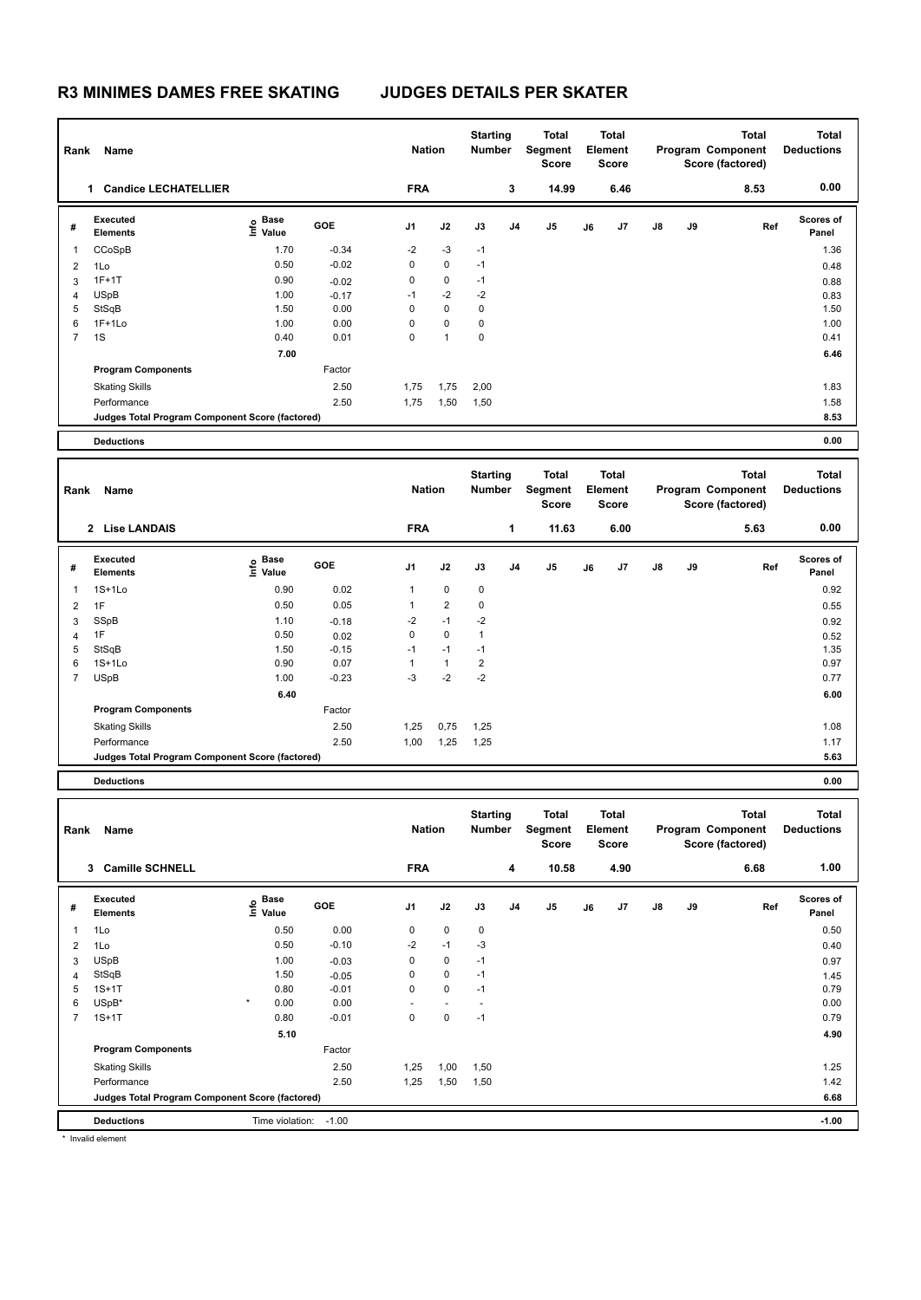| Rank           | Name                                            |                                         |         | <b>Nation</b> |                | <b>Starting</b><br>Number        |                | Total<br><b>Segment</b><br><b>Score</b> |    | Total<br>Element<br><b>Score</b> |    |    | Total<br>Program Component<br>Score (factored)        | <b>Total</b><br><b>Deductions</b> |
|----------------|-------------------------------------------------|-----------------------------------------|---------|---------------|----------------|----------------------------------|----------------|-----------------------------------------|----|----------------------------------|----|----|-------------------------------------------------------|-----------------------------------|
|                | 1 Candice LECHATELLIER                          |                                         |         | <b>FRA</b>    |                |                                  | 3              | 14.99                                   |    | 6.46                             |    |    | 8.53                                                  | 0.00                              |
| #              | Executed<br><b>Elements</b>                     | e Base<br>⊆ Value                       | GOE     | J1            | J2             | J3                               | J <sub>4</sub> | J5                                      | J6 | J7                               | J8 | J9 | Ref                                                   | <b>Scores of</b><br>Panel         |
| 1              | CCoSpB                                          | 1.70                                    | $-0.34$ | $-2$          | $-3$           | $-1$                             |                |                                         |    |                                  |    |    |                                                       | 1.36                              |
| 2              | 1Lo                                             | 0.50                                    | $-0.02$ | $\mathbf 0$   | $\pmb{0}$      | $-1$                             |                |                                         |    |                                  |    |    |                                                       | 0.48                              |
| 3              | $1F+1T$                                         | 0.90                                    | $-0.02$ | 0             | $\pmb{0}$      | $-1$                             |                |                                         |    |                                  |    |    |                                                       | 0.88                              |
| 4              | <b>USpB</b>                                     | 1.00                                    | $-0.17$ | $-1$          | $-2$           | $-2$                             |                |                                         |    |                                  |    |    |                                                       | 0.83                              |
| 5              | StSqB                                           | 1.50                                    | 0.00    | 0             | $\mathbf 0$    | 0                                |                |                                         |    |                                  |    |    |                                                       | 1.50                              |
| 6              | $1F+1Lo$                                        | 1.00                                    | 0.00    | 0             | 0              | $\mathbf 0$                      |                |                                         |    |                                  |    |    |                                                       | 1.00                              |
| $\overline{7}$ | 1S                                              | 0.40                                    | 0.01    | $\mathbf 0$   | $\mathbf{1}$   | 0                                |                |                                         |    |                                  |    |    |                                                       | 0.41                              |
|                |                                                 | 7.00                                    |         |               |                |                                  |                |                                         |    |                                  |    |    |                                                       | 6.46                              |
|                | <b>Program Components</b>                       |                                         | Factor  |               |                |                                  |                |                                         |    |                                  |    |    |                                                       |                                   |
|                | <b>Skating Skills</b>                           |                                         | 2.50    | 1,75          | 1,75           | 2,00                             |                |                                         |    |                                  |    |    |                                                       | 1.83                              |
|                | Performance                                     |                                         | 2.50    | 1,75          | 1,50           | 1,50                             |                |                                         |    |                                  |    |    |                                                       | 1.58                              |
|                | Judges Total Program Component Score (factored) |                                         |         |               |                |                                  |                |                                         |    |                                  |    |    |                                                       | 8.53                              |
|                | <b>Deductions</b>                               |                                         |         |               |                |                                  |                |                                         |    |                                  |    |    |                                                       | 0.00                              |
|                |                                                 |                                         |         |               |                |                                  |                |                                         |    |                                  |    |    |                                                       |                                   |
| Rank           | Name                                            |                                         |         | <b>Nation</b> |                | <b>Starting</b><br><b>Number</b> |                | Total<br>Segment<br><b>Score</b>        |    | Total<br>Element<br><b>Score</b> |    |    | <b>Total</b><br>Program Component<br>Score (factored) | <b>Total</b><br><b>Deductions</b> |
|                | 2 Lise LANDAIS                                  |                                         |         | <b>FRA</b>    |                |                                  | $\mathbf{1}$   | 11.63                                   |    | 6.00                             |    |    | 5.63                                                  | 0.00                              |
|                |                                                 |                                         |         |               |                |                                  |                |                                         |    |                                  |    |    |                                                       |                                   |
| #              | <b>Executed</b><br><b>Elements</b>              | $\mathbf{e}$ Base<br>$\mathbf{E}$ Value | GOE     | J1            | J2             | J3                               | J4             | J5                                      | J6 | J7                               | J8 | J9 | Ref                                                   | <b>Scores of</b><br>Panel         |
| 1              | $1S+1L0$                                        | 0.90                                    | 0.02    | 1             | $\pmb{0}$      | 0                                |                |                                         |    |                                  |    |    |                                                       | 0.92                              |
| 2              | 1F                                              | 0.50                                    | 0.05    | $\mathbf{1}$  | $\overline{2}$ | 0                                |                |                                         |    |                                  |    |    |                                                       | 0.55                              |
| 3              | SSpB                                            | 1.10                                    | $-0.18$ | $-2$          | $-1$           | $-2$                             |                |                                         |    |                                  |    |    |                                                       | 0.92                              |
| 4              | 1F                                              | 0.50                                    | 0.02    | $\mathbf 0$   | $\pmb{0}$      | $\mathbf{1}$                     |                |                                         |    |                                  |    |    |                                                       | 0.52                              |
| 5              | StSqB                                           | 1.50                                    | $-0.15$ | $-1$          | $-1$           | $-1$                             |                |                                         |    |                                  |    |    |                                                       | 1.35                              |
| 6              | $1S+1L0$                                        | 0.90                                    | 0.07    | $\mathbf{1}$  | $\mathbf{1}$   | $\overline{2}$                   |                |                                         |    |                                  |    |    |                                                       | 0.97                              |
| $\overline{7}$ | <b>USpB</b>                                     | 1.00                                    | $-0.23$ | $-3$          | $-2$           | $-2$                             |                |                                         |    |                                  |    |    |                                                       | 0.77                              |
|                |                                                 | 6.40                                    |         |               |                |                                  |                |                                         |    |                                  |    |    |                                                       | 6.00                              |
|                | <b>Program Components</b>                       |                                         | Factor  |               |                |                                  |                |                                         |    |                                  |    |    |                                                       |                                   |
|                | <b>Skating Skills</b>                           |                                         | 2.50    | 1,25          | 0,75           | 1,25                             |                |                                         |    |                                  |    |    |                                                       | 1.08                              |
|                | Performance                                     |                                         | 2.50    | 1,00          | 1,25           | 1,25                             |                |                                         |    |                                  |    |    |                                                       | 1.17                              |
|                | Judges Total Program Component Score (factored) |                                         |         |               |                |                                  |                |                                         |    |                                  |    |    |                                                       | 5.63                              |
|                | <b>Deductions</b>                               |                                         |         |               |                |                                  |                |                                         |    |                                  |    |    |                                                       | 0.00                              |
|                | Rank Name                                       |                                         |         | <b>Nation</b> |                | <b>Starting</b><br><b>Number</b> |                | Total<br>Segment<br>Score               |    | Total<br>Element<br>Score        |    |    | Total<br>Program Component<br>Score (factored)        | Total<br><b>Deductions</b>        |
|                | 3 Camille SCHNELL                               |                                         |         | <b>FRA</b>    |                |                                  | 4              | 10.58                                   |    | 4.90                             |    |    | 6.68                                                  | 1.00                              |
| #              | Executed<br>Elements                            | $\mathsf{E}$ Base<br>$\mathsf{E}$ Value | GOE     | J1            | J2             | $\mathsf{J3}$                    | J4             | J5                                      | J6 | J7                               | J8 | J9 | Ref                                                   | Scores of<br>Panel                |

 1Lo 0.50 -0.10 -2 -1 -3 0.40 USpB 1.00 -0.03 0 0 -1 0.97 StSqB 1.50 -0.05 0 0 -1 1.45 1S+1T 0.80 -0.01 0 0 -1 0.79 USpB\* \* 0.00 0.00 - - - 0.00 1S+1T 0.80 -0.01 0 0 -1 0.79

Skating Skills 1,25 1,00 1,50 2.50 1.25

Performance 2.50 2.50 1,25 1,50 1,50 2.50 2.50 1,42

**Judges Total Program Component Score (factored) 6.68**

 **5.10 4.90**

| Deductions<br>.         | $\sim$<br>. îme<br>violation:<br>1.UU<br>.<br>$\sim$ $\sim$ | 1.00 |
|-------------------------|-------------------------------------------------------------|------|
| <b>Inval</b><br>element |                                                             |      |

**Program Components** 

Factor